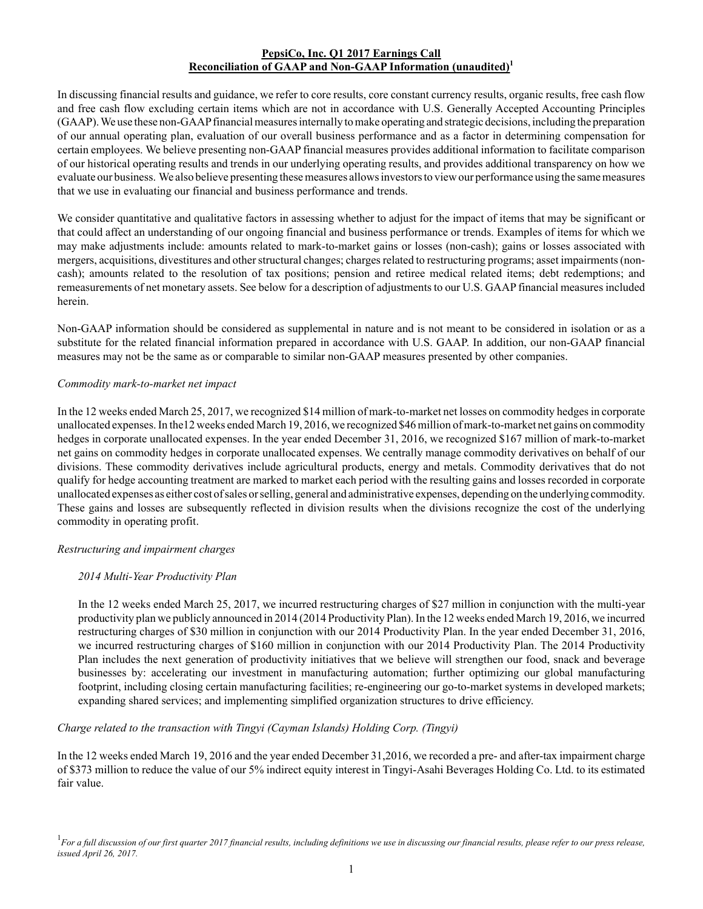### **PepsiCo, Inc. Q1 2017 Earnings Call Reconciliation of GAAP and Non-GAAP Information (unaudited)<sup>1</sup>**

In discussing financial results and guidance, we refer to core results, core constant currency results, organic results, free cash flow and free cash flow excluding certain items which are not in accordance with U.S. Generally Accepted Accounting Principles (GAAP). We use these non-GAAPfinancial measures internally to make operating and strategic decisions, including the preparation of our annual operating plan, evaluation of our overall business performance and as a factor in determining compensation for certain employees. We believe presenting non-GAAPfinancial measures provides additional information to facilitate comparison of our historical operating results and trends in our underlying operating results, and provides additional transparency on how we evaluate our business. We also believe presenting these measures allows investors to view our performance using the same measures that we use in evaluating our financial and business performance and trends.

We consider quantitative and qualitative factors in assessing whether to adjust for the impact of items that may be significant or that could affect an understanding of our ongoing financial and business performance or trends. Examples of items for which we may make adjustments include: amounts related to mark-to-market gains or losses (non-cash); gains or losses associated with mergers, acquisitions, divestitures and other structural changes; charges related to restructuring programs; asset impairments (noncash); amounts related to the resolution of tax positions; pension and retiree medical related items; debt redemptions; and remeasurements of net monetary assets. See below for a description of adjustments to our U.S. GAAPfinancial measures included herein.

Non-GAAP information should be considered as supplemental in nature and is not meant to be considered in isolation or as a substitute for the related financial information prepared in accordance with U.S. GAAP. In addition, our non-GAAP financial measures may not be the same as or comparable to similar non-GAAP measures presented by other companies.

#### *Commodity mark-to-market net impact*

In the 12 weeks ended March 25, 2017, we recognized \$14 million of mark-to-market net losses on commodity hedges in corporate unallocated expenses. In the12 weeks ended March 19, 2016, we recognized \$46 million of mark-to-market net gains on commodity hedges in corporate unallocated expenses. In the year ended December 31, 2016, we recognized \$167 million of mark-to-market net gains on commodity hedges in corporate unallocated expenses. We centrally manage commodity derivatives on behalf of our divisions. These commodity derivatives include agricultural products, energy and metals. Commodity derivatives that do not qualify for hedge accounting treatment are marked to market each period with the resulting gains and losses recorded in corporate unallocated expenses as either cost of sales or selling, general and administrative expenses, depending on the underlying commodity. These gains and losses are subsequently reflected in division results when the divisions recognize the cost of the underlying commodity in operating profit.

#### *Restructuring and impairment charges*

# *2014 Multi-Year Productivity Plan*

In the 12 weeks ended March 25, 2017, we incurred restructuring charges of \$27 million in conjunction with the multi-year productivity plan we publicly announced in 2014 (2014 Productivity Plan). In the 12 weeks ended March 19, 2016, we incurred restructuring charges of \$30 million in conjunction with our 2014 Productivity Plan. In the year ended December 31, 2016, we incurred restructuring charges of \$160 million in conjunction with our 2014 Productivity Plan. The 2014 Productivity Plan includes the next generation of productivity initiatives that we believe will strengthen our food, snack and beverage businesses by: accelerating our investment in manufacturing automation; further optimizing our global manufacturing footprint, including closing certain manufacturing facilities; re-engineering our go-to-market systems in developed markets; expanding shared services; and implementing simplified organization structures to drive efficiency.

# *Charge related to the transaction with Tingyi (Cayman Islands) Holding Corp. (Tingyi)*

In the 12 weeks ended March 19, 2016 and the year ended December 31,2016, we recorded a pre- and after-tax impairment charge of \$373 million to reduce the value of our 5% indirect equity interest in Tingyi-Asahi Beverages Holding Co. Ltd. to its estimated fair value.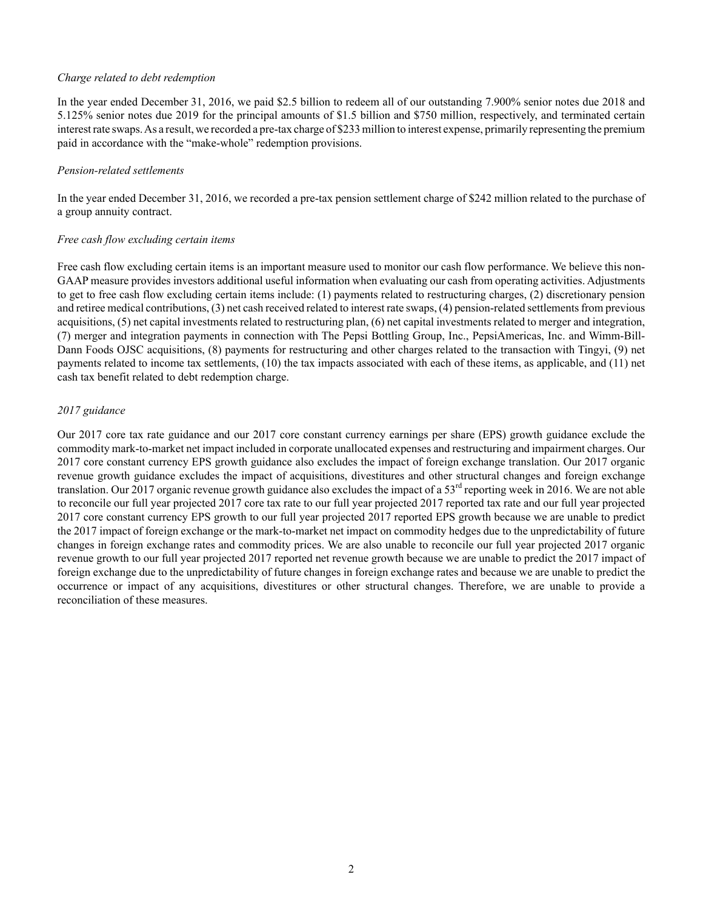#### *Charge related to debt redemption*

In the year ended December 31, 2016, we paid \$2.5 billion to redeem all of our outstanding 7.900% senior notes due 2018 and 5.125% senior notes due 2019 for the principal amounts of \$1.5 billion and \$750 million, respectively, and terminated certain interest rate swaps. As a result, we recorded a pre-tax charge of \$233 million to interest expense, primarily representing the premium paid in accordance with the "make-whole" redemption provisions.

#### *Pension-related settlements*

In the year ended December 31, 2016, we recorded a pre-tax pension settlement charge of \$242 million related to the purchase of a group annuity contract.

#### *Free cash flow excluding certain items*

Free cash flow excluding certain items is an important measure used to monitor our cash flow performance. We believe this non-GAAP measure provides investors additional useful information when evaluating our cash from operating activities. Adjustments to get to free cash flow excluding certain items include: (1) payments related to restructuring charges, (2) discretionary pension and retiree medical contributions, (3) net cash received related to interest rate swaps, (4) pension-related settlements from previous acquisitions, (5) net capital investments related to restructuring plan, (6) net capital investments related to merger and integration, (7) merger and integration payments in connection with The Pepsi Bottling Group, Inc., PepsiAmericas, Inc. and Wimm-Bill-Dann Foods OJSC acquisitions, (8) payments for restructuring and other charges related to the transaction with Tingyi, (9) net payments related to income tax settlements, (10) the tax impacts associated with each of these items, as applicable, and (11) net cash tax benefit related to debt redemption charge.

#### *2017 guidance*

Our 2017 core tax rate guidance and our 2017 core constant currency earnings per share (EPS) growth guidance exclude the commodity mark-to-market net impact included in corporate unallocated expenses and restructuring and impairment charges. Our 2017 core constant currency EPS growth guidance also excludes the impact of foreign exchange translation. Our 2017 organic revenue growth guidance excludes the impact of acquisitions, divestitures and other structural changes and foreign exchange translation. Our 2017 organic revenue growth guidance also excludes the impact of a 53<sup>rd</sup> reporting week in 2016. We are not able to reconcile our full year projected 2017 core tax rate to our full year projected 2017 reported tax rate and our full year projected 2017 core constant currency EPS growth to our full year projected 2017 reported EPS growth because we are unable to predict the 2017 impact of foreign exchange or the mark-to-market net impact on commodity hedges due to the unpredictability of future changes in foreign exchange rates and commodity prices. We are also unable to reconcile our full year projected 2017 organic revenue growth to our full year projected 2017 reported net revenue growth because we are unable to predict the 2017 impact of foreign exchange due to the unpredictability of future changes in foreign exchange rates and because we are unable to predict the occurrence or impact of any acquisitions, divestitures or other structural changes. Therefore, we are unable to provide a reconciliation of these measures.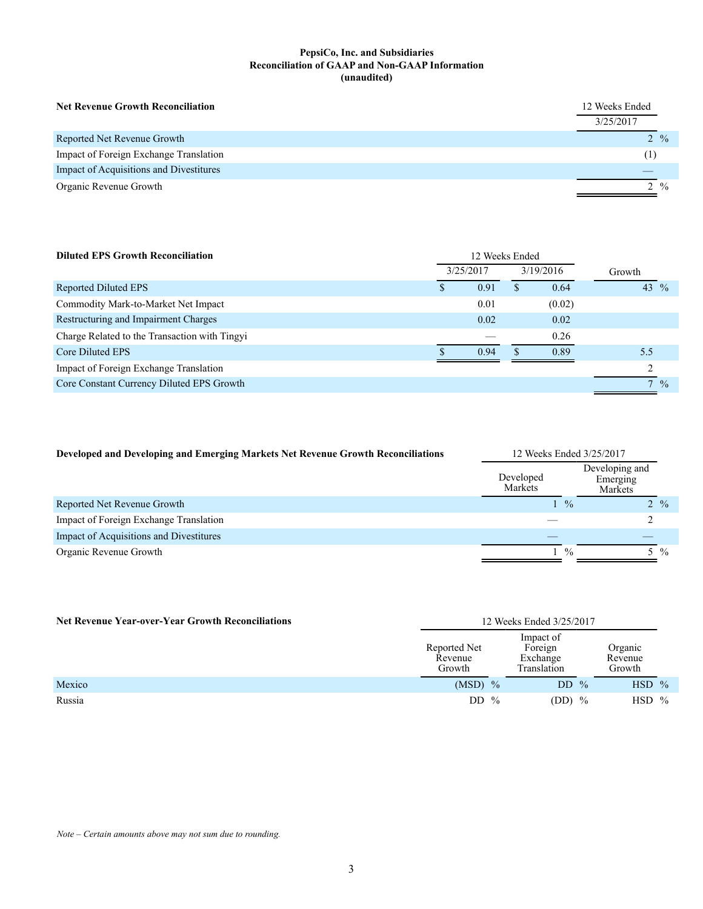#### **PepsiCo, Inc. and Subsidiaries Reconciliation of GAAP and Non-GAAP Information (unaudited)**

| <b>Net Revenue Growth Reconciliation</b> | 12 Weeks Ended<br>3/25/2017 |
|------------------------------------------|-----------------------------|
| Reported Net Revenue Growth              | $2 \frac{9}{6}$             |
| Impact of Foreign Exchange Translation   | (1)                         |
| Impact of Acquisitions and Divestitures  |                             |
| Organic Revenue Growth                   | $2 \frac{9}{6}$             |

| <b>Diluted EPS Growth Reconciliation</b>      | 12 Weeks Ended |           |   |           |                               |
|-----------------------------------------------|----------------|-----------|---|-----------|-------------------------------|
|                                               |                | 3/25/2017 |   | 3/19/2016 | Growth                        |
| Reported Diluted EPS                          | \$             | 0.91      | Ж | 0.64      | 43 $\frac{9}{6}$              |
| Commodity Mark-to-Market Net Impact           |                | 0.01      |   | (0.02)    |                               |
| Restructuring and Impairment Charges          |                | 0.02      |   | 0.02      |                               |
| Charge Related to the Transaction with Tingyi |                |           |   | 0.26      |                               |
| Core Diluted EPS                              |                | 0.94      |   | 0.89      | 5.5                           |
| Impact of Foreign Exchange Translation        |                |           |   |           |                               |
| Core Constant Currency Diluted EPS Growth     |                |           |   |           | $\mathbf{r}$<br>$\frac{0}{0}$ |
|                                               |                |           |   |           |                               |

| Developed and Developing and Emerging Markets Net Revenue Growth Reconciliations | 12 Weeks Ended 3/25/2017 |                                       |  |  |  |  |  |
|----------------------------------------------------------------------------------|--------------------------|---------------------------------------|--|--|--|--|--|
|                                                                                  | Developed<br>Markets     | Developing and<br>Emerging<br>Markets |  |  |  |  |  |
| Reported Net Revenue Growth                                                      | $\frac{0}{0}$            | $2\frac{9}{6}$                        |  |  |  |  |  |
| Impact of Foreign Exchange Translation                                           |                          |                                       |  |  |  |  |  |
| Impact of Acquisitions and Divestitures                                          |                          |                                       |  |  |  |  |  |
| Organic Revenue Growth                                                           | $\frac{0}{0}$            | $\frac{0}{0}$                         |  |  |  |  |  |

| 12 Weeks Ended 3/25/2017<br><b>Net Revenue Year-over-Year Growth Reconciliations</b> |                                   |                                                 |                              |  |
|--------------------------------------------------------------------------------------|-----------------------------------|-------------------------------------------------|------------------------------|--|
|                                                                                      | Reported Net<br>Revenue<br>Growth | Impact of<br>Foreign<br>Exchange<br>Translation | Organic<br>Revenue<br>Growth |  |
| Mexico                                                                               | $(MSD)$ %                         | DD $%$                                          | $HSD$ %                      |  |
| Russia                                                                               | DD $\%$                           | $(DD)$ %                                        | <b>HSD</b><br>$\frac{0}{0}$  |  |

*Note – Certain amounts above may not sum due to rounding.*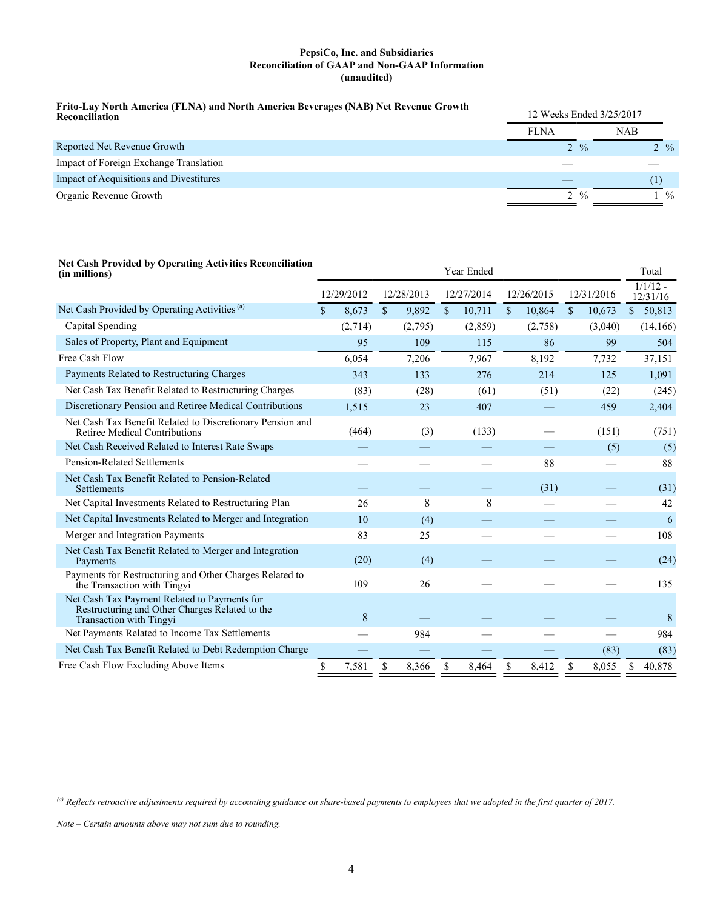#### **PepsiCo, Inc. and Subsidiaries Reconciliation of GAAP and Non-GAAP Information (unaudited)**

# **Frito-Lay North America (FLNA) and North America Beverages (NAB) Net Revenue Growth Reconciliation** 12 Weeks Ended 3/25/2017

| ілсеоненіанон                           |                 |                 |  |  |
|-----------------------------------------|-----------------|-----------------|--|--|
|                                         | <b>FLNA</b>     | <b>NAB</b>      |  |  |
| Reported Net Revenue Growth             | $2 \frac{9}{6}$ | $2 \frac{9}{6}$ |  |  |
| Impact of Foreign Exchange Translation  |                 |                 |  |  |
| Impact of Acquisitions and Divestitures |                 |                 |  |  |
| Organic Revenue Growth                  | $2 \frac{9}{6}$ | $\frac{0}{0}$   |  |  |
|                                         |                 |                 |  |  |

# **Net Cash Provided by Operating Activities Reconciliation**

| (in millions)                                                                                                             | Year Ended  |            |             |            |              |         |    | Total      |              |         |              |          |  |  |  |            |  |            |                        |  |
|---------------------------------------------------------------------------------------------------------------------------|-------------|------------|-------------|------------|--------------|---------|----|------------|--------------|---------|--------------|----------|--|--|--|------------|--|------------|------------------------|--|
|                                                                                                                           |             | 12/29/2012 |             | 12/28/2013 |              |         |    | 12/27/2014 |              |         |              |          |  |  |  | 12/26/2015 |  | 12/31/2016 | $1/1/12$ -<br>12/31/16 |  |
| Net Cash Provided by Operating Activities <sup>(a)</sup>                                                                  | $\mathbf S$ | 8,673      | $\mathbf S$ | 9,892      | $\mathbb{S}$ | 10,711  | \$ | 10,864     | $\mathbb{S}$ | 10,673  | $\mathbb{S}$ | 50,813   |  |  |  |            |  |            |                        |  |
| Capital Spending                                                                                                          |             | (2,714)    |             | (2,795)    |              | (2,859) |    | (2,758)    |              | (3,040) |              | (14,166) |  |  |  |            |  |            |                        |  |
| Sales of Property, Plant and Equipment                                                                                    |             | 95         |             | 109        |              | 115     |    | 86         |              | 99      |              | 504      |  |  |  |            |  |            |                        |  |
| Free Cash Flow                                                                                                            |             | 6,054      |             | 7,206      |              | 7,967   |    | 8,192      |              | 7,732   |              | 37,151   |  |  |  |            |  |            |                        |  |
| Payments Related to Restructuring Charges                                                                                 |             | 343        |             | 133        |              | 276     |    | 214        |              | 125     |              | 1,091    |  |  |  |            |  |            |                        |  |
| Net Cash Tax Benefit Related to Restructuring Charges                                                                     |             | (83)       |             | (28)       |              | (61)    |    | (51)       |              | (22)    |              | (245)    |  |  |  |            |  |            |                        |  |
| Discretionary Pension and Retiree Medical Contributions                                                                   |             | 1,515      |             | 23         |              | 407     |    |            |              | 459     |              | 2,404    |  |  |  |            |  |            |                        |  |
| Net Cash Tax Benefit Related to Discretionary Pension and<br>Retiree Medical Contributions                                |             | (464)      |             | (3)        |              | (133)   |    |            |              | (151)   |              | (751)    |  |  |  |            |  |            |                        |  |
| Net Cash Received Related to Interest Rate Swaps                                                                          |             |            |             |            |              |         |    |            |              | (5)     |              | (5)      |  |  |  |            |  |            |                        |  |
| <b>Pension-Related Settlements</b>                                                                                        |             |            |             |            |              |         |    | 88         |              |         |              | 88       |  |  |  |            |  |            |                        |  |
| Net Cash Tax Benefit Related to Pension-Related<br>Settlements                                                            |             |            |             |            |              |         |    | (31)       |              |         |              | (31)     |  |  |  |            |  |            |                        |  |
| Net Capital Investments Related to Restructuring Plan                                                                     |             | 26         |             | 8          |              | 8       |    |            |              |         |              | 42       |  |  |  |            |  |            |                        |  |
| Net Capital Investments Related to Merger and Integration                                                                 |             | 10         |             | (4)        |              |         |    |            |              |         |              | 6        |  |  |  |            |  |            |                        |  |
| Merger and Integration Payments                                                                                           |             | 83         |             | 25         |              |         |    |            |              |         |              | 108      |  |  |  |            |  |            |                        |  |
| Net Cash Tax Benefit Related to Merger and Integration<br>Payments                                                        |             | (20)       |             | (4)        |              |         |    |            |              |         |              | (24)     |  |  |  |            |  |            |                        |  |
| Payments for Restructuring and Other Charges Related to<br>the Transaction with Tingvi                                    |             | 109        |             | 26         |              |         |    |            |              |         |              | 135      |  |  |  |            |  |            |                        |  |
| Net Cash Tax Payment Related to Payments for<br>Restructuring and Other Charges Related to the<br>Transaction with Tingyi |             | 8          |             |            |              |         |    |            |              |         |              | 8        |  |  |  |            |  |            |                        |  |
| Net Payments Related to Income Tax Settlements                                                                            |             |            |             | 984        |              |         |    |            |              |         |              | 984      |  |  |  |            |  |            |                        |  |
| Net Cash Tax Benefit Related to Debt Redemption Charge                                                                    |             |            |             |            |              |         |    |            |              | (83)    |              | (83)     |  |  |  |            |  |            |                        |  |
| Free Cash Flow Excluding Above Items                                                                                      | \$          | 7,581      | \$          | 8,366      | \$           | 8,464   | \$ | 8,412      | \$           | 8,055   | \$           | 40,878   |  |  |  |            |  |            |                        |  |

*(a) Reflects retroactive adjustments required by accounting guidance on share-based payments to employees that we adopted in the first quarter of 2017.*

*Note – Certain amounts above may not sum due to rounding.*